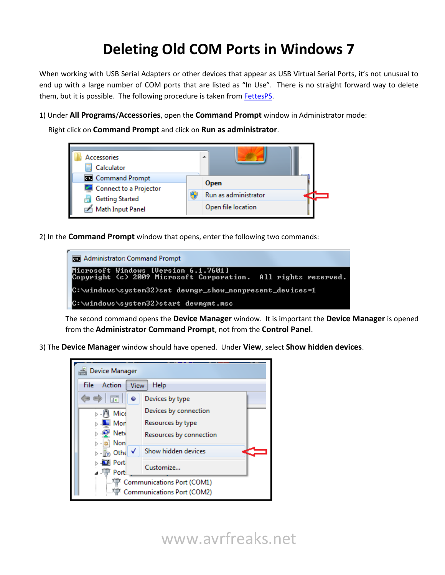## **Deleting Old COM Ports in Windows 7**

When working with USB Serial Adapters or other devices that appear as USB Virtual Serial Ports, it's not unusual to end up with a large number of COM ports that are listed as "In Use". There is no straight forward way to delete them, but it is possible. The following procedure is taken from **FettesPS**.

1) Under **All Programs**/**Accessories**, open the **Command Prompt** window in Administrator mode:

Right click on **Command Prompt** and click on **Run as administrator**.



2) In the **Command Prompt** window that opens, enter the following two commands:

| <b>Administrator: Command Prompt</b>                                                                   |  |  |  |
|--------------------------------------------------------------------------------------------------------|--|--|--|
| Microsoft Windows [Version 6.1.7601]<br>Copyright (c) 2009 Microsoft Corporation. All rights reserved. |  |  |  |
| C:\windows\system32>set devmgr_show_nonpresent_devices=1                                               |  |  |  |
| C:\windows\system32>start devmgmt.msc                                                                  |  |  |  |

The second command opens the **Device Manager** window. It is important the **Device Manager** is opened from the **Administrator Command Prompt**, not from the **Control Panel**.

3) The **Device Manager** window should have opened. Under **View**, select **Show hidden devices**.

| Device Manager                 |                         |  |  |
|--------------------------------|-------------------------|--|--|
| Action<br>File<br>Help<br>View |                         |  |  |
| 請<br>۰                         | Devices by type         |  |  |
| Mice                           | Devices by connection   |  |  |
| Mor                            | Resources by type       |  |  |
| <b>Netv</b>                    | Resources by connection |  |  |
| Non<br>Othe                    | Show hidden devices     |  |  |
| ⊒l Port                        |                         |  |  |
| Port                           | Customize               |  |  |
| Communications Port (COM1)     |                         |  |  |
| Communications Port (COM2)     |                         |  |  |

www.avrfreaks.net